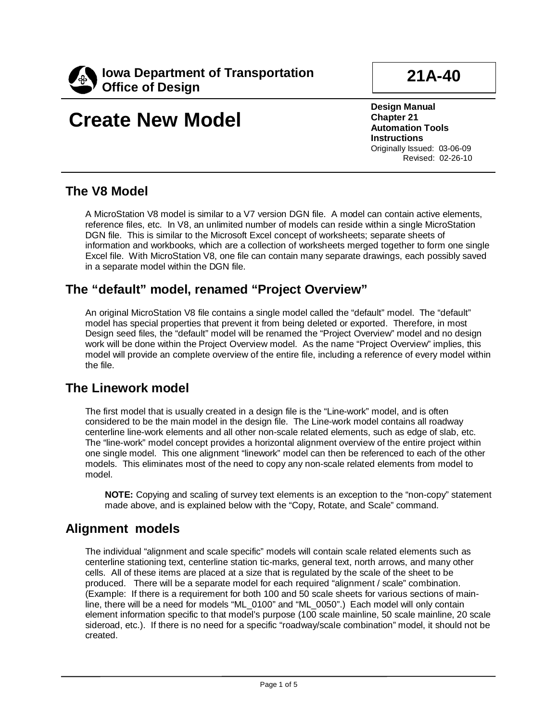

## **21A-40**

# **Create New Model**

**Design Manual Chapter 21 Automation Tools Instructions** Originally Issued: 03-06-09 Revised: 02-26-10

### **The V8 Model**

A MicroStation V8 model is similar to a V7 version DGN file. A model can contain active elements, reference files, etc. In V8, an unlimited number of models can reside within a single MicroStation DGN file. This is similar to the Microsoft Excel concept of worksheets; separate sheets of information and workbooks, which are a collection of worksheets merged together to form one single Excel file. With MicroStation V8, one file can contain many separate drawings, each possibly saved in a separate model within the DGN file.

### **The "default" model, renamed "Project Overview"**

An original MicroStation V8 file contains a single model called the "default" model. The "default" model has special properties that prevent it from being deleted or exported. Therefore, in most Design seed files, the "default" model will be renamed the "Project Overview" model and no design work will be done within the Project Overview model. As the name "Project Overview" implies, this model will provide an complete overview of the entire file, including a reference of every model within the file.

### **The Linework model**

The first model that is usually created in a design file is the "Line-work" model, and is often considered to be the main model in the design file. The Line-work model contains all roadway centerline line-work elements and all other non-scale related elements, such as edge of slab, etc. The "line-work" model concept provides a horizontal alignment overview of the entire project within one single model. This one alignment "linework" model can then be referenced to each of the other models. This eliminates most of the need to copy any non-scale related elements from model to model.

**NOTE:** Copying and scaling of survey text elements is an exception to the "non-copy" statement made above, and is explained below with the "Copy, Rotate, and Scale" command.

### **Alignment models**

The individual "alignment and scale specific" models will contain scale related elements such as centerline stationing text, centerline station tic-marks, general text, north arrows, and many other cells. All of these items are placed at a size that is regulated by the scale of the sheet to be produced. There will be a separate model for each required "alignment / scale" combination. (Example: If there is a requirement for both 100 and 50 scale sheets for various sections of mainline, there will be a need for models "ML\_0100" and "ML\_0050".) Each model will only contain element information specific to that model's purpose (100 scale mainline, 50 scale mainline, 20 scale sideroad, etc.). If there is no need for a specific "roadway/scale combination" model, it should not be created.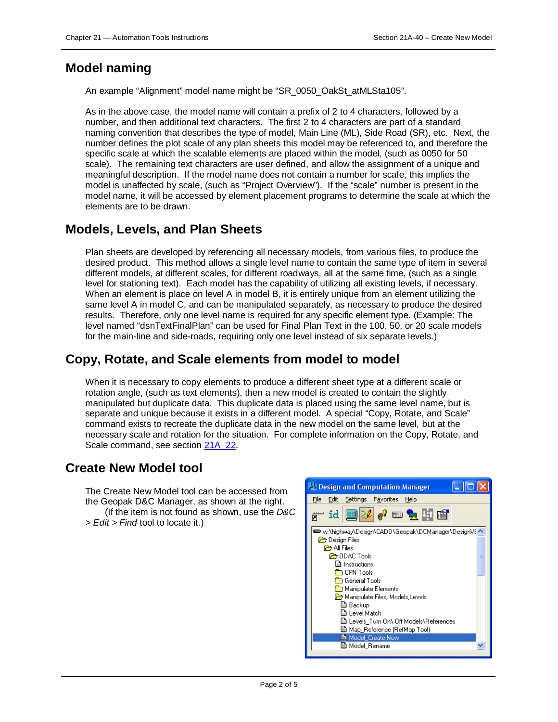#### **Model naming**

An example "Alignment" model name might be "SR\_0050\_OakSt\_atMLSta105".

As in the above case, the model name will contain a prefix of 2 to 4 characters, followed by a number, and then additional text characters. The first 2 to 4 characters are part of a standard naming convention that describes the type of model, Main Line (ML), Side Road (SR), etc. Next, the number defines the plot scale of any plan sheets this model may be referenced to, and therefore the specific scale at which the scalable elements are placed within the model, (such as 0050 for 50 scale). The remaining text characters are user defined, and allow the assignment of a unique and meaningful description. If the model name does not contain a number for scale, this implies the model is unaffected by scale, (such as "Project Overview"). If the "scale" number is present in the model name, it will be accessed by element placement programs to determine the scale at which the elements are to be drawn.

### **Models, Levels, and Plan Sheets**

Plan sheets are developed by referencing all necessary models, from various files, to produce the desired product. This method allows a single level name to contain the same type of item in several different models, at different scales, for different roadways, all at the same time, (such as a single level for stationing text). Each model has the capability of utilizing all existing levels, if necessary. When an element is place on level A in model B, it is entirely unique from an element utilizing the same level A in model C, and can be manipulated separately, as necessary to produce the desired results. Therefore, only one level name is required for any specific element type. (Example: The level named "dsnTextFinalPlan" can be used for Final Plan Text in the 100, 50, or 20 scale models for the main-line and side-roads, requiring only one level instead of six separate levels.)

### **Copy, Rotate, and Scale elements from model to model**

When it is necessary to copy elements to produce a different sheet type at a different scale or rotation angle, (such as text elements), then a new model is created to contain the slightly manipulated but duplicate data. This duplicate data is placed using the same level name, but is separate and unique because it exists in a different model. A special "Copy, Rotate, and Scale" command exists to recreate the duplicate data in the new model on the same level, but at the necessary scale and rotation for the situation. For complete information on the Copy, Rotate, and Scale command, see section 21A\_22.

### **Create New Model tool**

The Create New Model tool can be accessed from the Geopak D&C Manager, as shown at the right. (If the item is not found as shown, use the *D&C > Edit > Find* tool to locate it.)

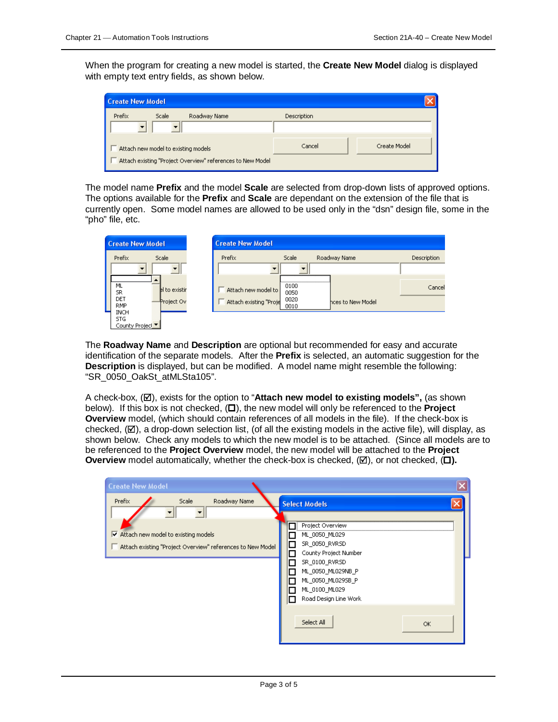When the program for creating a new model is started, the **Create New Model** dialog is displayed with empty text entry fields, as shown below.

| <b>Create New Model</b>                                                                           |             |              |
|---------------------------------------------------------------------------------------------------|-------------|--------------|
| Prefix<br><b>Scale</b><br>Roadway Name                                                            | Description |              |
| Attach new model to existing models<br>Attach existing "Project Overview" references to New Model | Cancel      | Create Model |

The model name **Prefix** and the model **Scale** are selected from drop-down lists of approved options. The options available for the **Prefix** and **Scale** are dependant on the extension of the file that is currently open. Some model names are allowed to be used only in the "dsn" design file, some in the "pho" file, etc.

| <b>Create New Model</b>                       |                        | <b>Create New Model</b> |              |                   |             |
|-----------------------------------------------|------------------------|-------------------------|--------------|-------------------|-------------|
| Prefix                                        | Scale                  | Prefix                  | Scale        | Roadway Name      | Description |
|                                               |                        |                         |              |                   |             |
| ML<br><b>SR</b>                               | <b>I</b> el to existir | Attach new model to     | 0100<br>0050 |                   | Cancel      |
| DET<br><b>RMP</b>                             | Project Ov             | Attach existing "Proje  | 0020<br>0010 | hces to New Model |             |
| <b>INCH</b><br><b>STG</b><br>County Project ▼ |                        |                         |              |                   |             |

The **Roadway Name** and **Description** are optional but recommended for easy and accurate identification of the separate models. After the **Prefix** is selected, an automatic suggestion for the **Description** is displayed, but can be modified. A model name might resemble the following: "SR\_0050\_OakSt\_atMLSta105".

A check-box, (**Ø**), exists for the option to "**Attach new model to existing models**", (as shown below). If this box is not checked,  $(\Box)$ , the new model will only be referenced to the **Project Overview** model, (which should contain references of all models in the file). If the check-box is checked,  $(\boxtimes)$ , a drop-down selection list, (of all the existing models in the active file), will display, as shown below. Check any models to which the new model is to be attached. (Since all models are to be referenced to the **Project Overview** model, the new model will be attached to the **Project Overview** model automatically, whether the check-box is checked,  $(\mathbb{Z})$ , or not checked,  $(\Box)$ .

| <b>Create New Model</b>                                                                                                                               |                                                                                                                                                                                                                                 |
|-------------------------------------------------------------------------------------------------------------------------------------------------------|---------------------------------------------------------------------------------------------------------------------------------------------------------------------------------------------------------------------------------|
| Scale<br>Roadway Name<br>Prefix<br>$\triangleright$ Attach new model to existing models<br>Attach existing "Project Overview" references to New Model | <b>Select Models</b><br>Project Overview<br>ML_0050_ML029<br>SR_0050_RVRSD<br>П<br>County Project Number<br>SR_0100_RVRSD<br>ML_0050_ML029NB_P<br>ML_0050_ML0295B_P<br>ML_0100_ML029<br>Road Design Line Work<br><b>COLLEGE</b> |
|                                                                                                                                                       | Select All<br>OK.                                                                                                                                                                                                               |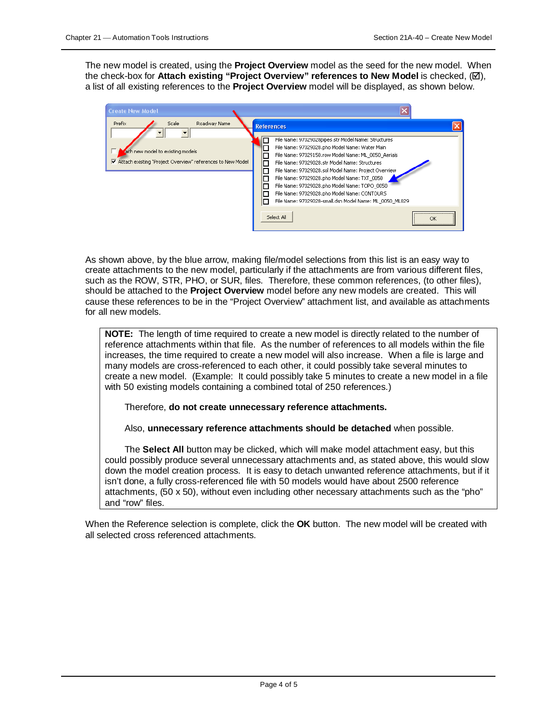The new model is created, using the **Project Overview** model as the seed for the new model. When the check-box for **Attach existing "Project Overview" references to New Model** is checked, ( $\boxtimes$ ), a list of all existing references to the **Project Overview** model will be displayed, as shown below.

| <b>Create New Model</b>                                                                                                           |                                                                                                                                                                                                                                                                                                                                                                                                                                                                                                         |  |
|-----------------------------------------------------------------------------------------------------------------------------------|---------------------------------------------------------------------------------------------------------------------------------------------------------------------------------------------------------------------------------------------------------------------------------------------------------------------------------------------------------------------------------------------------------------------------------------------------------------------------------------------------------|--|
| Prefix<br>Scale<br>Roadway Name<br>ach new model to existing models<br>Attach existing "Project Overview" references to New Model | <b>References</b><br>File Name: 97029028pipes.str Model Name: Structures<br>File Name: 97029028.pho Model Name: Water Main<br>File Name: 97029150.row Model Name: ML 0050 Aerials<br>File Name: 97029028.str Model Name: Structures<br>File Name: 97029028.sol Model Name: Project Overview<br>File Name: 97029028.pho Model Name: TXT 0050<br>File Name: 97029028.pho Model Name: TOPO 0050<br>File Name: 97029028.pho Model Name: CONTOURS<br>File Name: 97029028-small.dsn Model Name: ML 0050 ML029 |  |
|                                                                                                                                   | <br>Select All<br>OK                                                                                                                                                                                                                                                                                                                                                                                                                                                                                    |  |

As shown above, by the blue arrow, making file/model selections from this list is an easy way to create attachments to the new model, particularly if the attachments are from various different files, such as the ROW, STR, PHO, or SUR, files. Therefore, these common references, (to other files), should be attached to the **Project Overview** model before any new models are created. This will cause these references to be in the "Project Overview" attachment list, and available as attachments for all new models.

**NOTE:** The length of time required to create a new model is directly related to the number of reference attachments within that file. As the number of references to all models within the file increases, the time required to create a new model will also increase. When a file is large and many models are cross-referenced to each other, it could possibly take several minutes to create a new model. (Example: It could possibly take 5 minutes to create a new model in a file with 50 existing models containing a combined total of 250 references.)

Therefore, **do not create unnecessary reference attachments.** 

Also, **unnecessary reference attachments should be detached** when possible.

The **Select All** button may be clicked, which will make model attachment easy, but this could possibly produce several unnecessary attachments and, as stated above, this would slow down the model creation process. It is easy to detach unwanted reference attachments, but if it isn't done, a fully cross-referenced file with 50 models would have about 2500 reference attachments, (50 x 50), without even including other necessary attachments such as the "pho" and "row" files.

When the Reference selection is complete, click the **OK** button. The new model will be created with all selected cross referenced attachments.